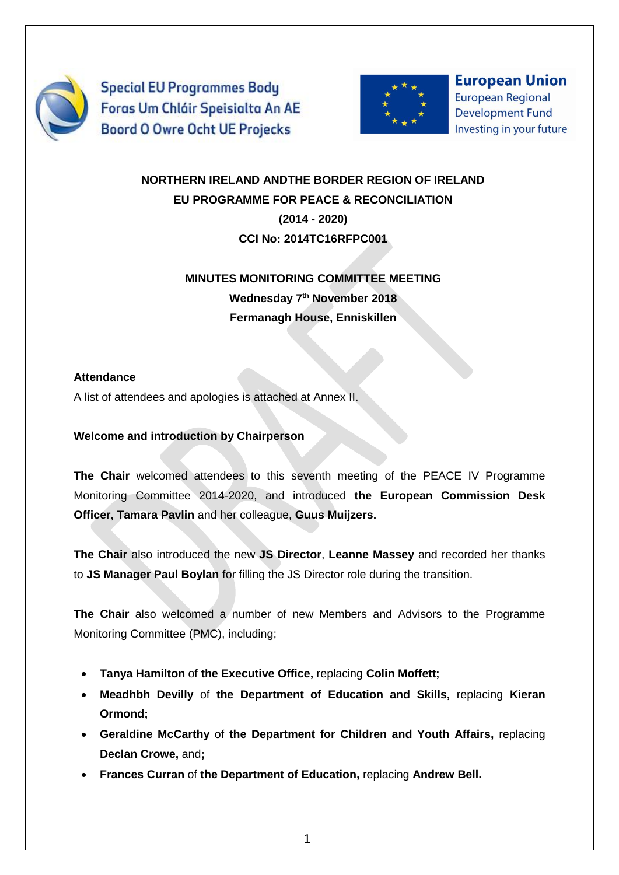

**Special EU Programmes Body** Foras Um Chláir Speisialta An AE **Boord O Owre Ocht UE Projecks** 



**European Union European Regional Development Fund** Investing in your future

# **NORTHERN IRELAND ANDTHE BORDER REGION OF IRELAND EU PROGRAMME FOR PEACE & RECONCILIATION (2014 - 2020)**

# **CCI No: 2014TC16RFPC001**

# **MINUTES MONITORING COMMITTEE MEETING Wednesday 7 th November 2018 Fermanagh House, Enniskillen**

## **Attendance**

A list of attendees and apologies is attached at Annex II.

## **Welcome and introduction by Chairperson**

**The Chair** welcomed attendees to this seventh meeting of the PEACE IV Programme Monitoring Committee 2014-2020, and introduced **the European Commission Desk Officer, Tamara Pavlin** and her colleague, **Guus Muijzers.**

**The Chair** also introduced the new **JS Director**, **Leanne Massey** and recorded her thanks to **JS Manager Paul Boylan** for filling the JS Director role during the transition.

**The Chair** also welcomed a number of new Members and Advisors to the Programme Monitoring Committee (PMC), including;

- **Tanya Hamilton** of **the Executive Office,** replacing **Colin Moffett;**
- **Meadhbh Devilly** of **the Department of Education and Skills,** replacing **Kieran Ormond;**
- **Geraldine McCarthy** of **the Department for Children and Youth Affairs,** replacing **Declan Crowe,** and**;**
- **Frances Curran** of **the Department of Education,** replacing **Andrew Bell.**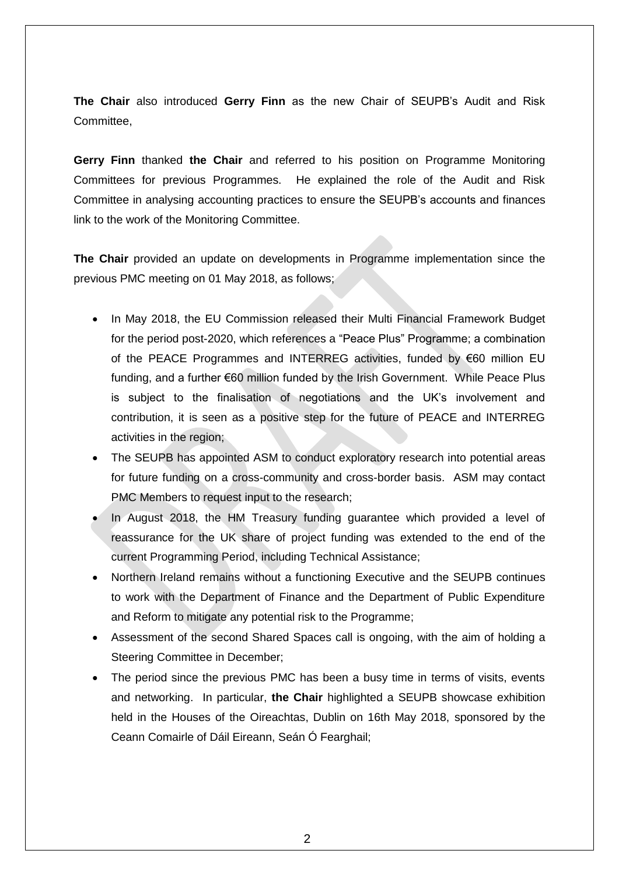**The Chair** also introduced **Gerry Finn** as the new Chair of SEUPB's Audit and Risk Committee,

**Gerry Finn** thanked **the Chair** and referred to his position on Programme Monitoring Committees for previous Programmes. He explained the role of the Audit and Risk Committee in analysing accounting practices to ensure the SEUPB's accounts and finances link to the work of the Monitoring Committee.

**The Chair** provided an update on developments in Programme implementation since the previous PMC meeting on 01 May 2018, as follows;

- In May 2018, the EU Commission released their Multi Financial Framework Budget for the period post-2020, which references a "Peace Plus" Programme; a combination of the PEACE Programmes and INTERREG activities, funded by €60 million EU funding, and a further €60 million funded by the Irish Government. While Peace Plus is subject to the finalisation of negotiations and the UK's involvement and contribution, it is seen as a positive step for the future of PEACE and INTERREG activities in the region;
- The SEUPB has appointed ASM to conduct exploratory research into potential areas for future funding on a cross-community and cross-border basis. ASM may contact PMC Members to request input to the research;
- In August 2018, the HM Treasury funding guarantee which provided a level of reassurance for the UK share of project funding was extended to the end of the current Programming Period, including Technical Assistance;
- Northern Ireland remains without a functioning Executive and the SEUPB continues to work with the Department of Finance and the Department of Public Expenditure and Reform to mitigate any potential risk to the Programme;
- Assessment of the second Shared Spaces call is ongoing, with the aim of holding a Steering Committee in December;
- The period since the previous PMC has been a busy time in terms of visits, events and networking. In particular, **the Chair** highlighted a SEUPB showcase exhibition held in the Houses of the Oireachtas, Dublin on 16th May 2018, sponsored by the Ceann Comairle of Dáil Eireann, Seán Ó Fearghail;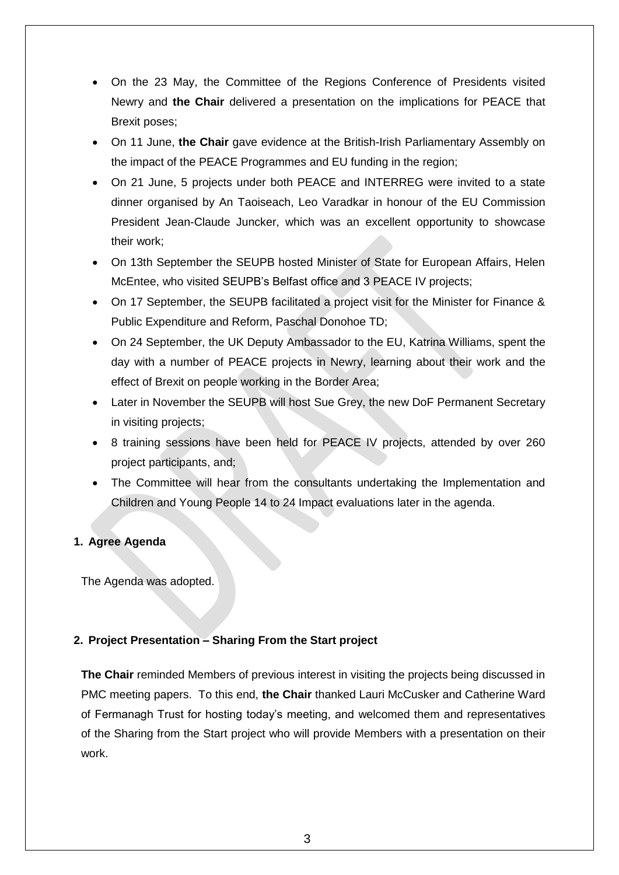- On the 23 May, the Committee of the Regions Conference of Presidents visited Newry and **the Chair** delivered a presentation on the implications for PEACE that Brexit poses;
- On 11 June, **the Chair** gave evidence at the British-Irish Parliamentary Assembly on the impact of the PEACE Programmes and EU funding in the region;
- On 21 June, 5 projects under both PEACE and INTERREG were invited to a state dinner organised by An Taoiseach, Leo Varadkar in honour of the EU Commission President Jean-Claude Juncker, which was an excellent opportunity to showcase their work;
- On 13th September the SEUPB hosted Minister of State for European Affairs, Helen McEntee, who visited SEUPB's Belfast office and 3 PEACE IV projects;
- On 17 September, the SEUPB facilitated a project visit for the Minister for Finance & Public Expenditure and Reform, Paschal Donohoe TD;
- On 24 September, the UK Deputy Ambassador to the EU, Katrina Williams, spent the day with a number of PEACE projects in Newry, learning about their work and the effect of Brexit on people working in the Border Area;
- Later in November the SEUPB will host Sue Grey, the new DoF Permanent Secretary in visiting projects;
- 8 training sessions have been held for PEACE IV projects, attended by over 260 project participants, and;
- The Committee will hear from the consultants undertaking the Implementation and Children and Young People 14 to 24 Impact evaluations later in the agenda.

## **1. Agree Agenda**

The Agenda was adopted.

## **2. Project Presentation – Sharing From the Start project**

**The Chair** reminded Members of previous interest in visiting the projects being discussed in PMC meeting papers. To this end, **the Chair** thanked Lauri McCusker and Catherine Ward of Fermanagh Trust for hosting today's meeting, and welcomed them and representatives of the Sharing from the Start project who will provide Members with a presentation on their work.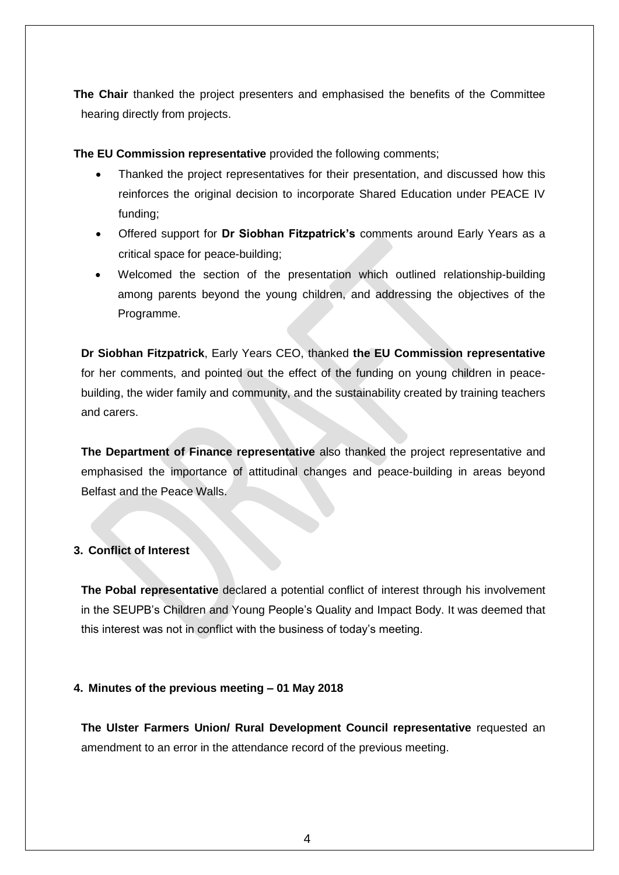**The Chair** thanked the project presenters and emphasised the benefits of the Committee hearing directly from projects.

**The EU Commission representative** provided the following comments;

- Thanked the project representatives for their presentation, and discussed how this reinforces the original decision to incorporate Shared Education under PEACE IV funding;
- Offered support for **Dr Siobhan Fitzpatrick's** comments around Early Years as a critical space for peace-building;
- Welcomed the section of the presentation which outlined relationship-building among parents beyond the young children, and addressing the objectives of the Programme.

**Dr Siobhan Fitzpatrick**, Early Years CEO, thanked **the EU Commission representative** for her comments, and pointed out the effect of the funding on young children in peacebuilding, the wider family and community, and the sustainability created by training teachers and carers.

**The Department of Finance representative** also thanked the project representative and emphasised the importance of attitudinal changes and peace-building in areas beyond Belfast and the Peace Walls.

### **3. Conflict of Interest**

**The Pobal representative** declared a potential conflict of interest through his involvement in the SEUPB's Children and Young People's Quality and Impact Body. It was deemed that this interest was not in conflict with the business of today's meeting.

### **4. Minutes of the previous meeting – 01 May 2018**

**The Ulster Farmers Union/ Rural Development Council representative** requested an amendment to an error in the attendance record of the previous meeting.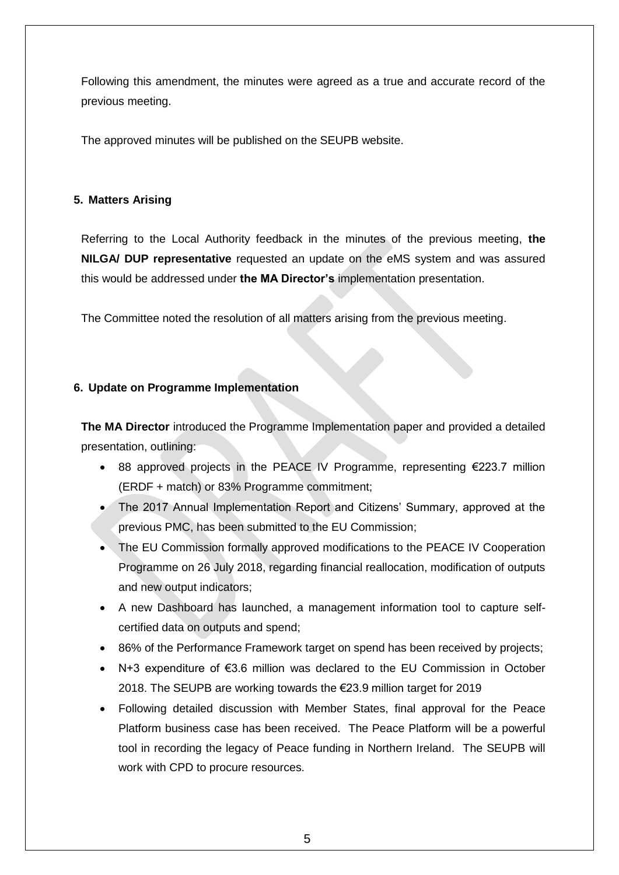Following this amendment, the minutes were agreed as a true and accurate record of the previous meeting.

The approved minutes will be published on the SEUPB website.

### **5. Matters Arising**

Referring to the Local Authority feedback in the minutes of the previous meeting, **the NILGA/ DUP representative** requested an update on the eMS system and was assured this would be addressed under **the MA Director's** implementation presentation.

The Committee noted the resolution of all matters arising from the previous meeting.

### **6. Update on Programme Implementation**

**The MA Director** introduced the Programme Implementation paper and provided a detailed presentation, outlining:

- 88 approved projects in the PEACE IV Programme, representing €223.7 million (ERDF + match) or 83% Programme commitment;
- The 2017 Annual Implementation Report and Citizens' Summary, approved at the previous PMC, has been submitted to the EU Commission;
- The EU Commission formally approved modifications to the PEACE IV Cooperation Programme on 26 July 2018, regarding financial reallocation, modification of outputs and new output indicators;
- A new Dashboard has launched, a management information tool to capture selfcertified data on outputs and spend;
- 86% of the Performance Framework target on spend has been received by projects;
- N+3 expenditure of €3.6 million was declared to the EU Commission in October 2018. The SEUPB are working towards the €23.9 million target for 2019
- Following detailed discussion with Member States, final approval for the Peace Platform business case has been received. The Peace Platform will be a powerful tool in recording the legacy of Peace funding in Northern Ireland. The SEUPB will work with CPD to procure resources.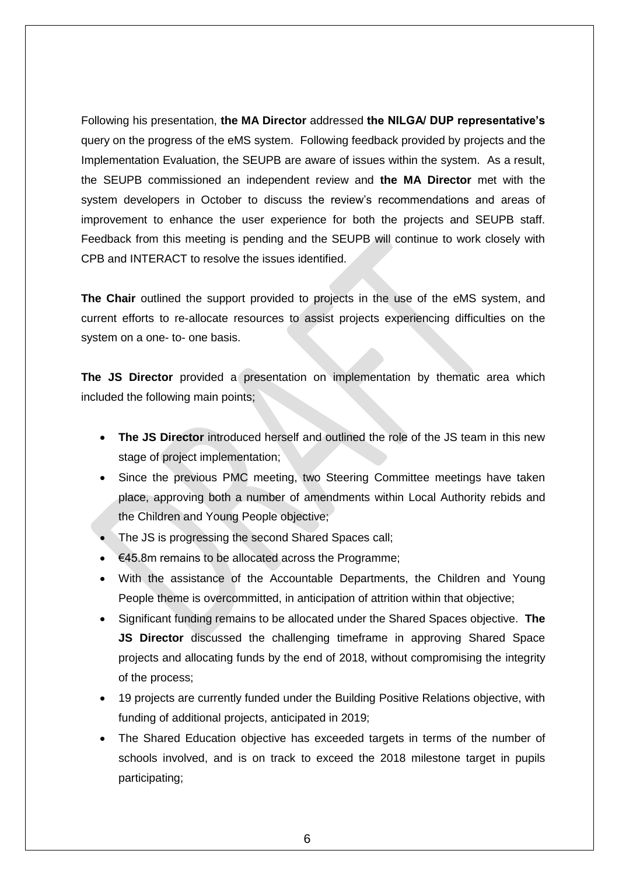Following his presentation, **the MA Director** addressed **the NILGA/ DUP representative's**  query on the progress of the eMS system. Following feedback provided by projects and the Implementation Evaluation, the SEUPB are aware of issues within the system. As a result, the SEUPB commissioned an independent review and **the MA Director** met with the system developers in October to discuss the review's recommendations and areas of improvement to enhance the user experience for both the projects and SEUPB staff. Feedback from this meeting is pending and the SEUPB will continue to work closely with CPB and INTERACT to resolve the issues identified.

**The Chair** outlined the support provided to projects in the use of the eMS system, and current efforts to re-allocate resources to assist projects experiencing difficulties on the system on a one- to- one basis.

**The JS Director** provided a presentation on implementation by thematic area which included the following main points;

- **The JS Director** introduced herself and outlined the role of the JS team in this new stage of project implementation;
- Since the previous PMC meeting, two Steering Committee meetings have taken place, approving both a number of amendments within Local Authority rebids and the Children and Young People objective;
- The JS is progressing the second Shared Spaces call;
- €45.8m remains to be allocated across the Programme;
- With the assistance of the Accountable Departments, the Children and Young People theme is overcommitted, in anticipation of attrition within that objective;
- Significant funding remains to be allocated under the Shared Spaces objective. **The JS Director** discussed the challenging timeframe in approving Shared Space projects and allocating funds by the end of 2018, without compromising the integrity of the process;
- 19 projects are currently funded under the Building Positive Relations objective, with funding of additional projects, anticipated in 2019;
- The Shared Education objective has exceeded targets in terms of the number of schools involved, and is on track to exceed the 2018 milestone target in pupils participating;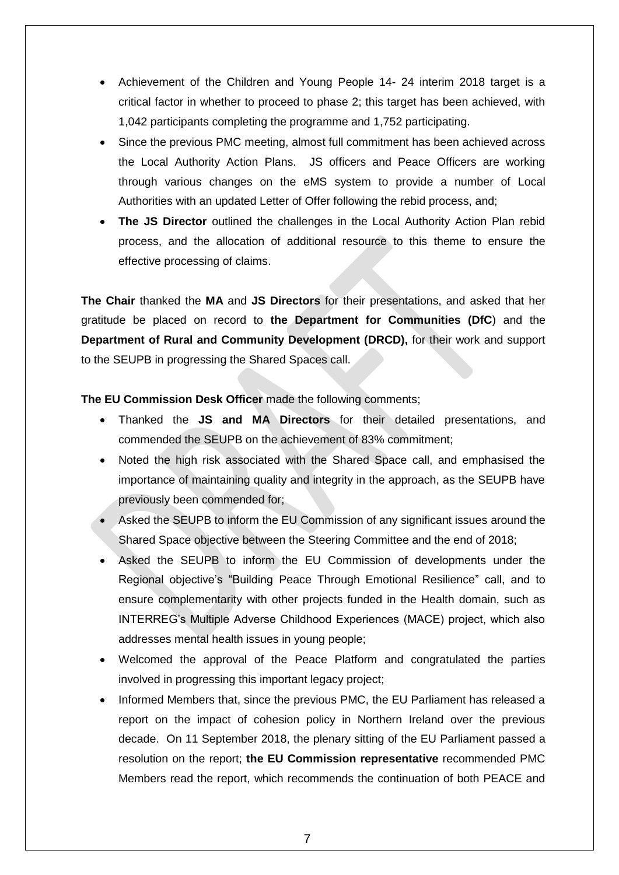- Achievement of the Children and Young People 14- 24 interim 2018 target is a critical factor in whether to proceed to phase 2; this target has been achieved, with 1,042 participants completing the programme and 1,752 participating.
- Since the previous PMC meeting, almost full commitment has been achieved across the Local Authority Action Plans. JS officers and Peace Officers are working through various changes on the eMS system to provide a number of Local Authorities with an updated Letter of Offer following the rebid process, and;
- **The JS Director** outlined the challenges in the Local Authority Action Plan rebid process, and the allocation of additional resource to this theme to ensure the effective processing of claims.

**The Chair** thanked the **MA** and **JS Directors** for their presentations, and asked that her gratitude be placed on record to **the Department for Communities (DfC**) and the **Department of Rural and Community Development (DRCD),** for their work and support to the SEUPB in progressing the Shared Spaces call.

**The EU Commission Desk Officer** made the following comments;

- Thanked the **JS and MA Directors** for their detailed presentations, and commended the SEUPB on the achievement of 83% commitment;
- Noted the high risk associated with the Shared Space call, and emphasised the importance of maintaining quality and integrity in the approach, as the SEUPB have previously been commended for;
- Asked the SEUPB to inform the EU Commission of any significant issues around the Shared Space objective between the Steering Committee and the end of 2018;
- Asked the SEUPB to inform the EU Commission of developments under the Regional objective's "Building Peace Through Emotional Resilience" call, and to ensure complementarity with other projects funded in the Health domain, such as INTERREG's Multiple Adverse Childhood Experiences (MACE) project, which also addresses mental health issues in young people;
- Welcomed the approval of the Peace Platform and congratulated the parties involved in progressing this important legacy project;
- Informed Members that, since the previous PMC, the EU Parliament has released a report on the impact of cohesion policy in Northern Ireland over the previous decade. On 11 September 2018, the plenary sitting of the EU Parliament passed a resolution on the report; **the EU Commission representative** recommended PMC Members read the report, which recommends the continuation of both PEACE and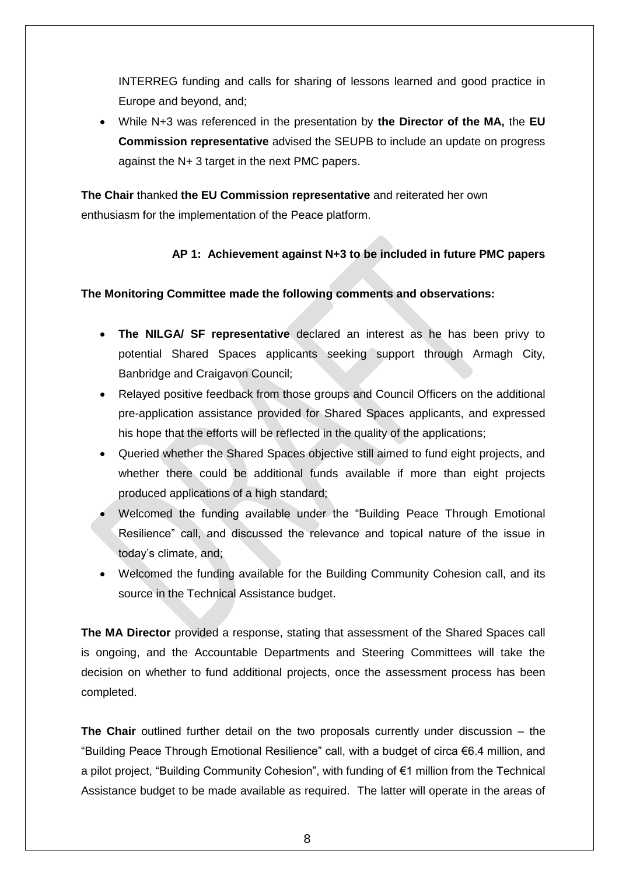INTERREG funding and calls for sharing of lessons learned and good practice in Europe and beyond, and;

 While N+3 was referenced in the presentation by **the Director of the MA,** the **EU Commission representative** advised the SEUPB to include an update on progress against the N+ 3 target in the next PMC papers.

**The Chair** thanked **the EU Commission representative** and reiterated her own enthusiasm for the implementation of the Peace platform.

### **AP 1: Achievement against N+3 to be included in future PMC papers**

### **The Monitoring Committee made the following comments and observations:**

- **The NILGA/ SF representative** declared an interest as he has been privy to potential Shared Spaces applicants seeking support through Armagh City, Banbridge and Craigavon Council;
- Relayed positive feedback from those groups and Council Officers on the additional pre-application assistance provided for Shared Spaces applicants, and expressed his hope that the efforts will be reflected in the quality of the applications;
- Queried whether the Shared Spaces objective still aimed to fund eight projects, and whether there could be additional funds available if more than eight projects produced applications of a high standard;
- Welcomed the funding available under the "Building Peace Through Emotional Resilience" call, and discussed the relevance and topical nature of the issue in today's climate, and;
- Welcomed the funding available for the Building Community Cohesion call, and its source in the Technical Assistance budget.

**The MA Director** provided a response, stating that assessment of the Shared Spaces call is ongoing, and the Accountable Departments and Steering Committees will take the decision on whether to fund additional projects, once the assessment process has been completed.

**The Chair** outlined further detail on the two proposals currently under discussion – the "Building Peace Through Emotional Resilience" call, with a budget of circa €6.4 million, and a pilot project, "Building Community Cohesion", with funding of €1 million from the Technical Assistance budget to be made available as required. The latter will operate in the areas of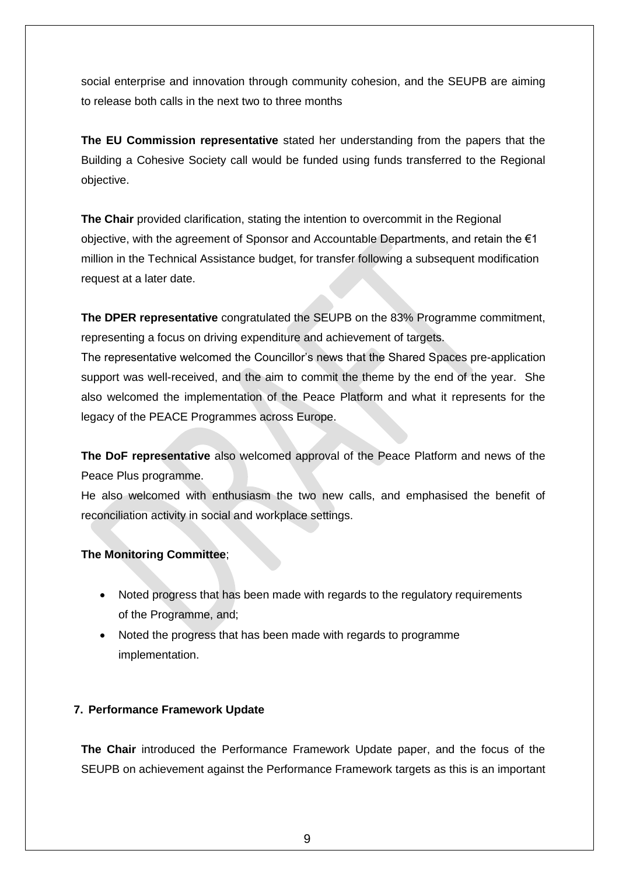social enterprise and innovation through community cohesion, and the SEUPB are aiming to release both calls in the next two to three months

**The EU Commission representative** stated her understanding from the papers that the Building a Cohesive Society call would be funded using funds transferred to the Regional objective.

**The Chair** provided clarification, stating the intention to overcommit in the Regional objective, with the agreement of Sponsor and Accountable Departments, and retain the  $\epsilon_1$ million in the Technical Assistance budget, for transfer following a subsequent modification request at a later date.

**The DPER representative** congratulated the SEUPB on the 83% Programme commitment, representing a focus on driving expenditure and achievement of targets.

The representative welcomed the Councillor's news that the Shared Spaces pre-application support was well-received, and the aim to commit the theme by the end of the year. She also welcomed the implementation of the Peace Platform and what it represents for the legacy of the PEACE Programmes across Europe.

**The DoF representative** also welcomed approval of the Peace Platform and news of the Peace Plus programme.

He also welcomed with enthusiasm the two new calls, and emphasised the benefit of reconciliation activity in social and workplace settings.

### **The Monitoring Committee**;

- Noted progress that has been made with regards to the regulatory requirements of the Programme, and;
- Noted the progress that has been made with regards to programme implementation.

### **7. Performance Framework Update**

**The Chair** introduced the Performance Framework Update paper, and the focus of the SEUPB on achievement against the Performance Framework targets as this is an important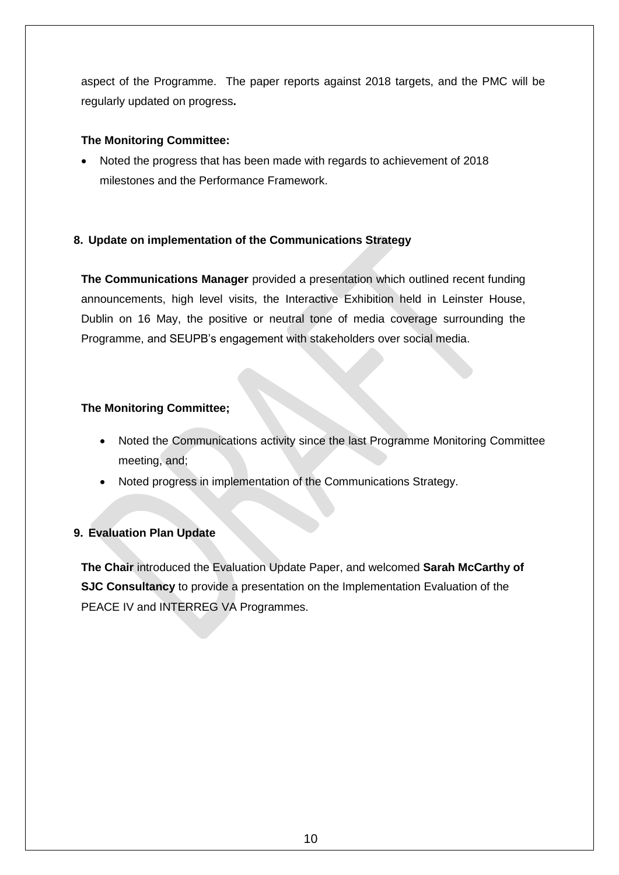aspect of the Programme. The paper reports against 2018 targets, and the PMC will be regularly updated on progress**.**

### **The Monitoring Committee:**

 Noted the progress that has been made with regards to achievement of 2018 milestones and the Performance Framework.

### **8. Update on implementation of the Communications Strategy**

**The Communications Manager** provided a presentation which outlined recent funding announcements, high level visits, the Interactive Exhibition held in Leinster House, Dublin on 16 May, the positive or neutral tone of media coverage surrounding the Programme, and SEUPB's engagement with stakeholders over social media.

### **The Monitoring Committee;**

- Noted the Communications activity since the last Programme Monitoring Committee meeting, and;
- Noted progress in implementation of the Communications Strategy.

### **9. Evaluation Plan Update**

**The Chair** introduced the Evaluation Update Paper, and welcomed **Sarah McCarthy of SJC Consultancy** to provide a presentation on the Implementation Evaluation of the PEACE IV and INTERREG VA Programmes.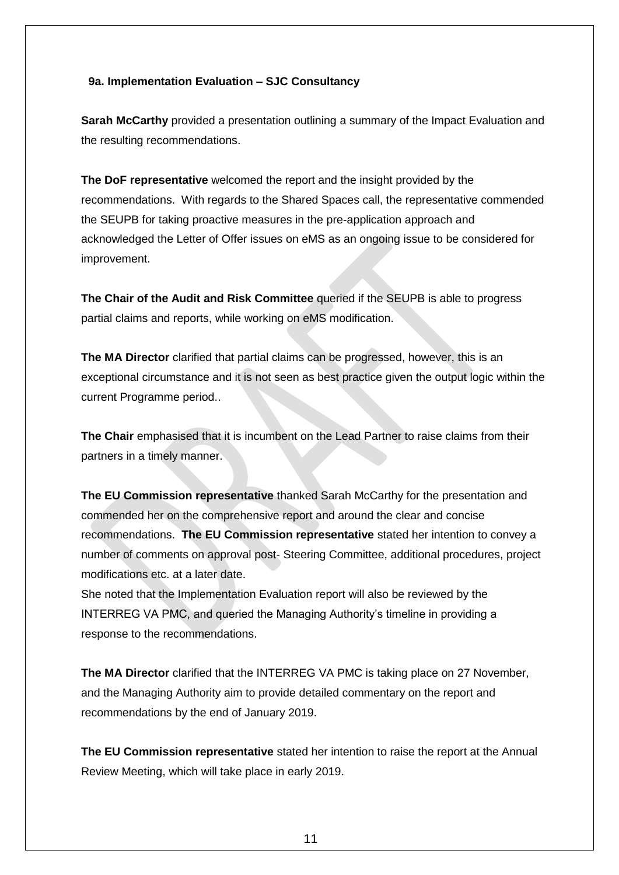#### **9a. Implementation Evaluation – SJC Consultancy**

**Sarah McCarthy** provided a presentation outlining a summary of the Impact Evaluation and the resulting recommendations.

**The DoF representative** welcomed the report and the insight provided by the recommendations. With regards to the Shared Spaces call, the representative commended the SEUPB for taking proactive measures in the pre-application approach and acknowledged the Letter of Offer issues on eMS as an ongoing issue to be considered for improvement.

**The Chair of the Audit and Risk Committee** queried if the SEUPB is able to progress partial claims and reports, while working on eMS modification.

**The MA Director** clarified that partial claims can be progressed, however, this is an exceptional circumstance and it is not seen as best practice given the output logic within the current Programme period..

**The Chair** emphasised that it is incumbent on the Lead Partner to raise claims from their partners in a timely manner.

**The EU Commission representative** thanked Sarah McCarthy for the presentation and commended her on the comprehensive report and around the clear and concise recommendations. **The EU Commission representative** stated her intention to convey a number of comments on approval post- Steering Committee, additional procedures, project modifications etc. at a later date.

She noted that the Implementation Evaluation report will also be reviewed by the INTERREG VA PMC, and queried the Managing Authority's timeline in providing a response to the recommendations.

**The MA Director** clarified that the INTERREG VA PMC is taking place on 27 November, and the Managing Authority aim to provide detailed commentary on the report and recommendations by the end of January 2019.

**The EU Commission representative** stated her intention to raise the report at the Annual Review Meeting, which will take place in early 2019.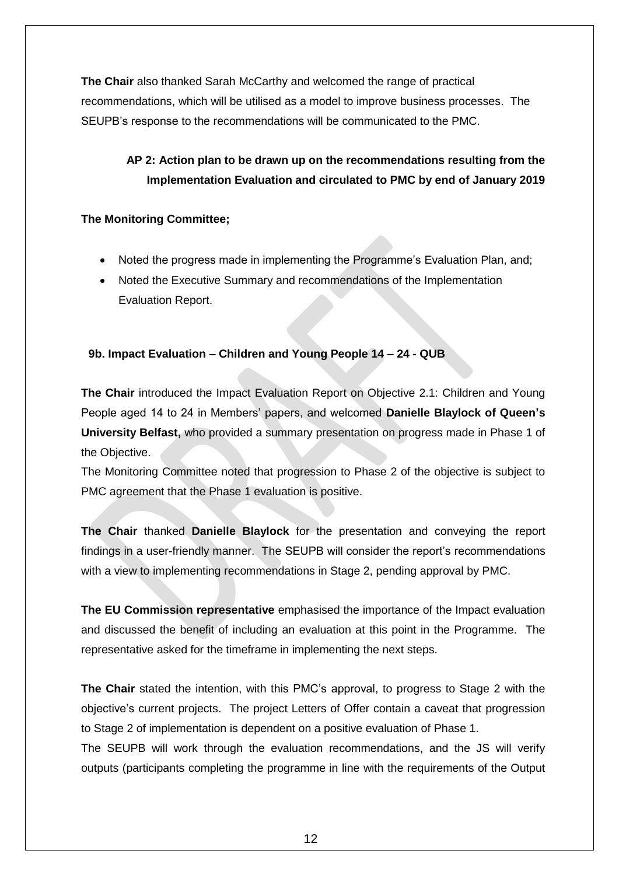**The Chair** also thanked Sarah McCarthy and welcomed the range of practical recommendations, which will be utilised as a model to improve business processes. The SEUPB's response to the recommendations will be communicated to the PMC.

## **AP 2: Action plan to be drawn up on the recommendations resulting from the Implementation Evaluation and circulated to PMC by end of January 2019**

### **The Monitoring Committee;**

- Noted the progress made in implementing the Programme's Evaluation Plan, and;
- Noted the Executive Summary and recommendations of the Implementation Evaluation Report.

## **9b. Impact Evaluation – Children and Young People 14 – 24 - QUB**

**The Chair** introduced the Impact Evaluation Report on Objective 2.1: Children and Young People aged 14 to 24 in Members' papers, and welcomed **Danielle Blaylock of Queen's University Belfast,** who provided a summary presentation on progress made in Phase 1 of the Objective.

The Monitoring Committee noted that progression to Phase 2 of the objective is subject to PMC agreement that the Phase 1 evaluation is positive.

**The Chair** thanked **Danielle Blaylock** for the presentation and conveying the report findings in a user-friendly manner. The SEUPB will consider the report's recommendations with a view to implementing recommendations in Stage 2, pending approval by PMC.

**The EU Commission representative** emphasised the importance of the Impact evaluation and discussed the benefit of including an evaluation at this point in the Programme. The representative asked for the timeframe in implementing the next steps.

**The Chair** stated the intention, with this PMC's approval, to progress to Stage 2 with the objective's current projects. The project Letters of Offer contain a caveat that progression to Stage 2 of implementation is dependent on a positive evaluation of Phase 1.

The SEUPB will work through the evaluation recommendations, and the JS will verify outputs (participants completing the programme in line with the requirements of the Output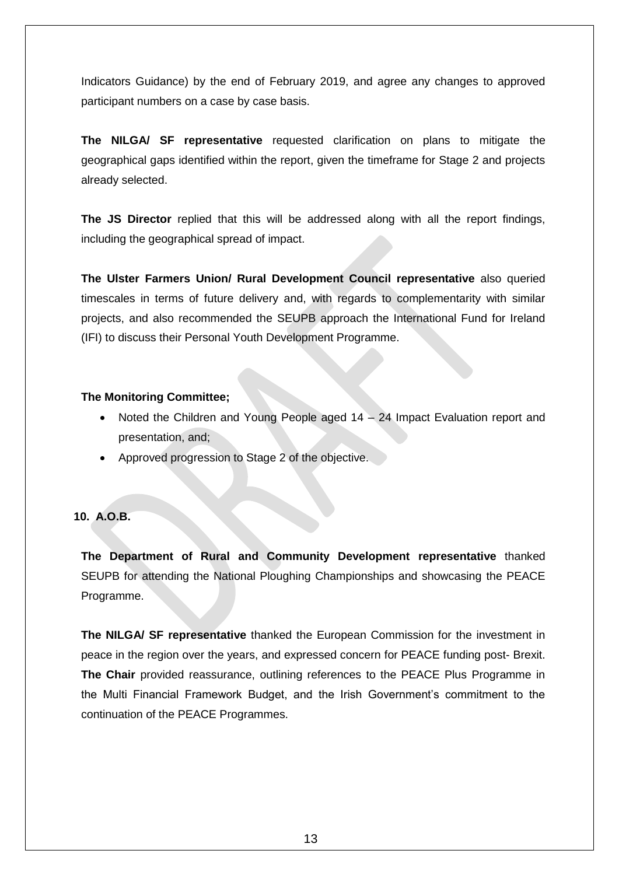Indicators Guidance) by the end of February 2019, and agree any changes to approved participant numbers on a case by case basis.

**The NILGA/ SF representative** requested clarification on plans to mitigate the geographical gaps identified within the report, given the timeframe for Stage 2 and projects already selected.

**The JS Director** replied that this will be addressed along with all the report findings, including the geographical spread of impact.

**The Ulster Farmers Union/ Rural Development Council representative** also queried timescales in terms of future delivery and, with regards to complementarity with similar projects, and also recommended the SEUPB approach the International Fund for Ireland (IFI) to discuss their Personal Youth Development Programme.

#### **The Monitoring Committee;**

- Noted the Children and Young People aged 14 24 Impact Evaluation report and presentation, and;
- Approved progression to Stage 2 of the objective.

### **10. A.O.B.**

**The Department of Rural and Community Development representative** thanked SEUPB for attending the National Ploughing Championships and showcasing the PEACE Programme.

**The NILGA/ SF representative** thanked the European Commission for the investment in peace in the region over the years, and expressed concern for PEACE funding post- Brexit. **The Chair** provided reassurance, outlining references to the PEACE Plus Programme in the Multi Financial Framework Budget, and the Irish Government's commitment to the continuation of the PEACE Programmes.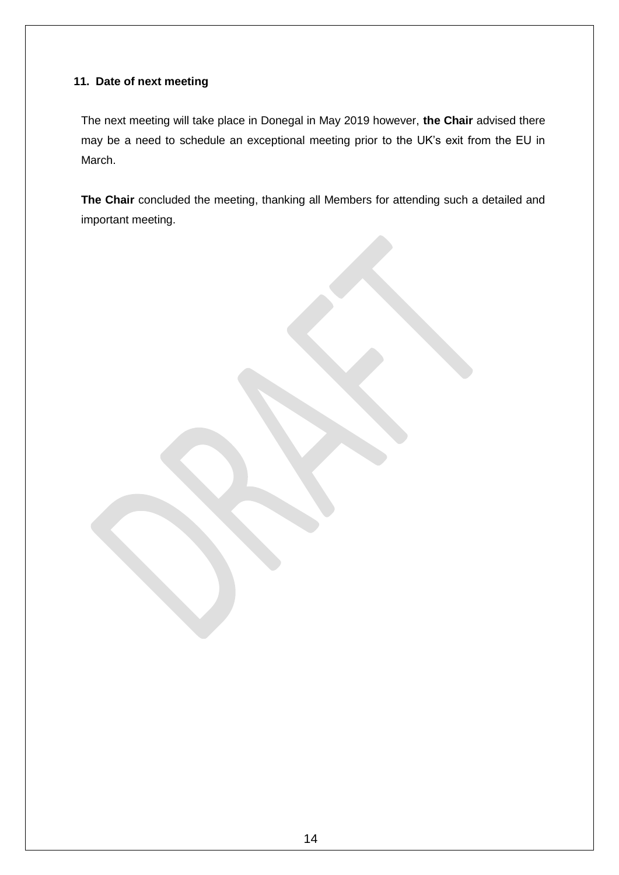## **11. Date of next meeting**

The next meeting will take place in Donegal in May 2019 however, **the Chair** advised there may be a need to schedule an exceptional meeting prior to the UK's exit from the EU in March.

**The Chair** concluded the meeting, thanking all Members for attending such a detailed and important meeting.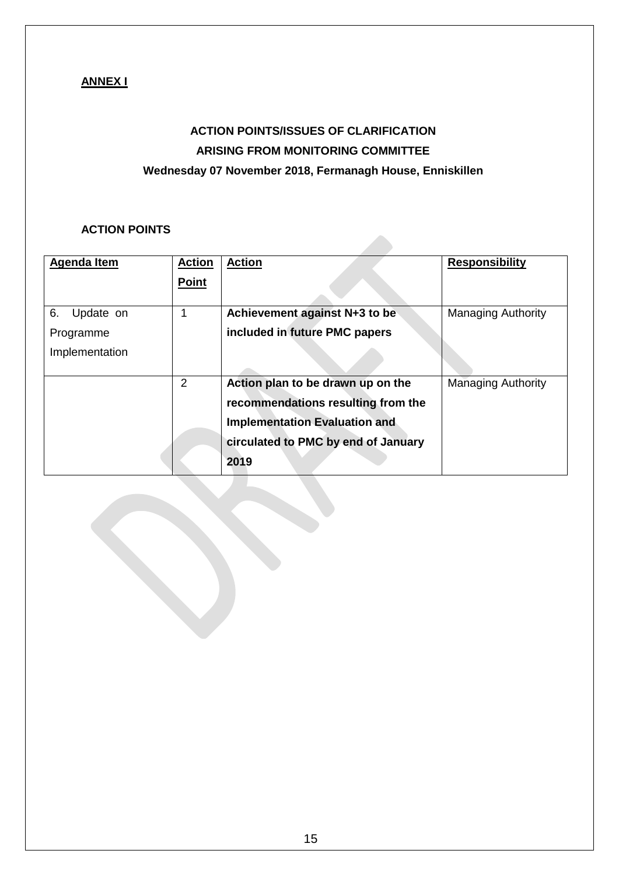## **ANNEX I**

# **ACTION POINTS/ISSUES OF CLARIFICATION ARISING FROM MONITORING COMMITTEE Wednesday 07 November 2018, Fermanagh House, Enniskillen**

### **ACTION POINTS**

| <b>Agenda Item</b> | <b>Action</b> | <b>Action</b>                        | <b>Responsibility</b>     |
|--------------------|---------------|--------------------------------------|---------------------------|
|                    | <b>Point</b>  |                                      |                           |
| 6.<br>Update on    | 1             | Achievement against N+3 to be        | <b>Managing Authority</b> |
| Programme          |               | included in future PMC papers        |                           |
| Implementation     |               |                                      |                           |
|                    | 2             | Action plan to be drawn up on the    | <b>Managing Authority</b> |
|                    |               | recommendations resulting from the   |                           |
|                    |               | <b>Implementation Evaluation and</b> |                           |
|                    |               | circulated to PMC by end of January  |                           |
|                    |               | 2019                                 |                           |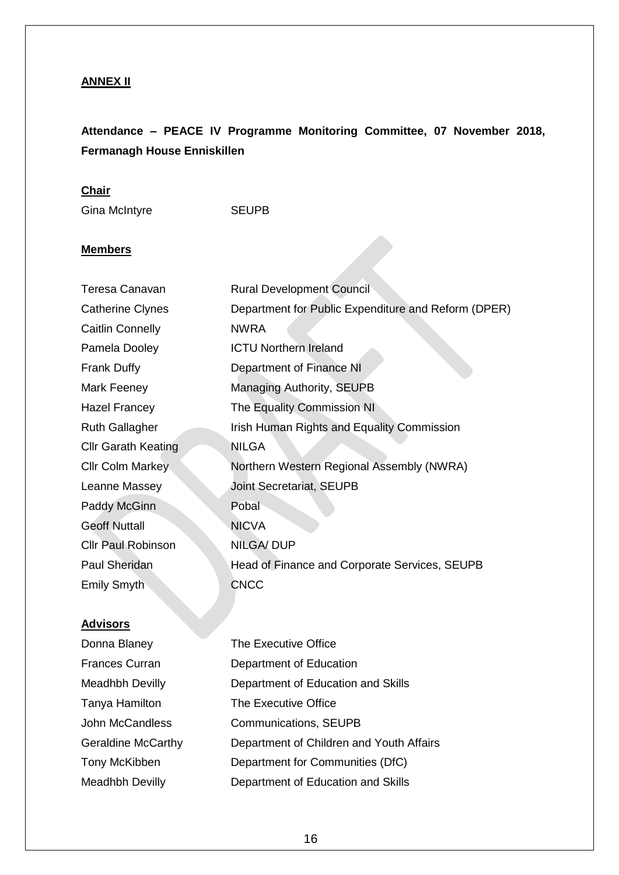## **ANNEX II**

## **Attendance – PEACE IV Programme Monitoring Committee, 07 November 2018, Fermanagh House Enniskillen**

## **Chair**

Gina McIntyre **SEUPB** 

## **Members**

| Teresa Canavan             | <b>Rural Development Council</b>                    |
|----------------------------|-----------------------------------------------------|
| <b>Catherine Clynes</b>    | Department for Public Expenditure and Reform (DPER) |
| Caitlin Connelly           | <b>NWRA</b>                                         |
| Pamela Dooley              | <b>ICTU Northern Ireland</b>                        |
| <b>Frank Duffy</b>         | Department of Finance NI                            |
| Mark Feeney                | <b>Managing Authority, SEUPB</b>                    |
| Hazel Francey              | The Equality Commission NI                          |
| <b>Ruth Gallagher</b>      | Irish Human Rights and Equality Commission          |
| <b>Cllr Garath Keating</b> | <b>NILGA</b>                                        |
| <b>Cllr Colm Markey</b>    | Northern Western Regional Assembly (NWRA)           |
| Leanne Massey              | Joint Secretariat, SEUPB                            |
| Paddy McGinn               | Pobal                                               |
| <b>Geoff Nuttall</b>       | <b>NICVA</b>                                        |
| <b>Cllr Paul Robinson</b>  | <b>NILGA/DUP</b>                                    |
| Paul Sheridan              | Head of Finance and Corporate Services, SEUPB       |
| <b>Emily Smyth</b>         | <b>CNCC</b>                                         |
|                            |                                                     |

## **Advisors**

| Donna Blaney              | The Executive Office                     |
|---------------------------|------------------------------------------|
| Frances Curran            | Department of Education                  |
| Meadhbh Devilly           | Department of Education and Skills       |
| Tanya Hamilton            | The Executive Office                     |
| <b>John McCandless</b>    | <b>Communications, SEUPB</b>             |
| <b>Geraldine McCarthy</b> | Department of Children and Youth Affairs |
| Tony McKibben             | Department for Communities (DfC)         |
| Meadhbh Devilly           | Department of Education and Skills       |
|                           |                                          |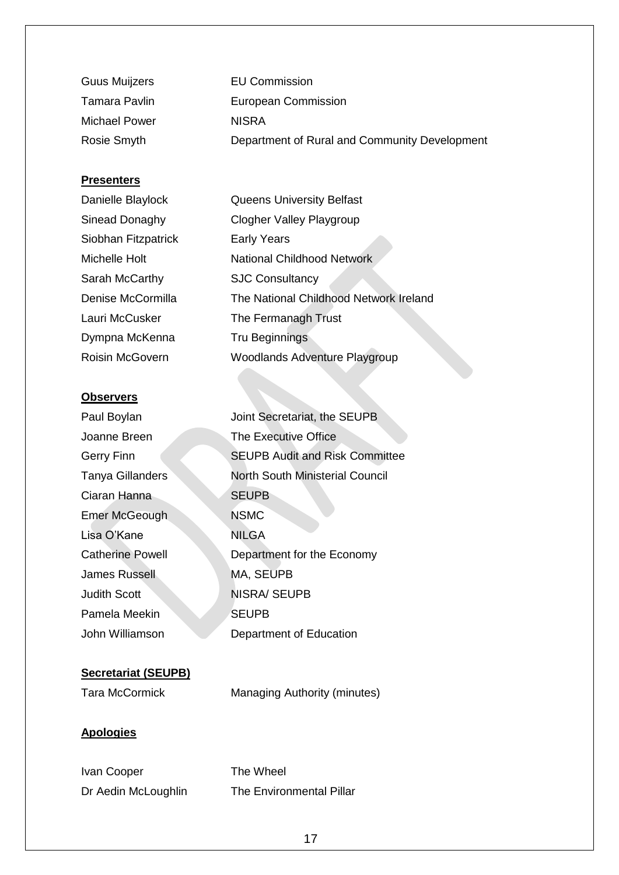| <b>Guus Muijzers</b> | <b>EU Commission</b>                          |
|----------------------|-----------------------------------------------|
| Tamara Pavlin        | European Commission                           |
| Michael Power        | <b>NISRA</b>                                  |
| Rosie Smyth          | Department of Rural and Community Development |

### **Presenters**

| Danielle Blaylock      | <b>Queens University Belfast</b>       |
|------------------------|----------------------------------------|
| Sinead Donaghy         | <b>Clogher Valley Playgroup</b>        |
| Siobhan Fitzpatrick    | <b>Early Years</b>                     |
| Michelle Holt          | <b>National Childhood Network</b>      |
| Sarah McCarthy         | <b>SJC Consultancy</b>                 |
| Denise McCormilla      | The National Childhood Network Ireland |
| Lauri McCusker         | The Fermanagh Trust                    |
| Dympna McKenna         | <b>Tru Beginnings</b>                  |
| <b>Roisin McGovern</b> | <b>Woodlands Adventure Playgroup</b>   |
|                        |                                        |

#### **Observers**

| Paul Boylan             | Joint Secretariat, the SEUPB          |
|-------------------------|---------------------------------------|
| Joanne Breen            | The Executive Office                  |
| Gerry Finn              | <b>SEUPB Audit and Risk Committee</b> |
| Tanya Gillanders        | North South Ministerial Council       |
| Ciaran Hanna            | <b>SEUPB</b>                          |
| Emer McGeough           | <b>NSMC</b>                           |
| Lisa O'Kane             | <b>NILGA</b>                          |
| <b>Catherine Powell</b> | Department for the Economy            |
| James Russell           | MA, SEUPB                             |
| <b>Judith Scott</b>     | <b>NISRA/ SEUPB</b>                   |
| Pamela Meekin           | <b>SEUPB</b>                          |
| John Williamson         | Department of Education               |
|                         |                                       |

## **Secretariat (SEUPB)**

Tara McCormick Managing Authority (minutes)

### **Apologies**

Ivan Cooper The Wheel Dr Aedin McLoughlin The Environmental Pillar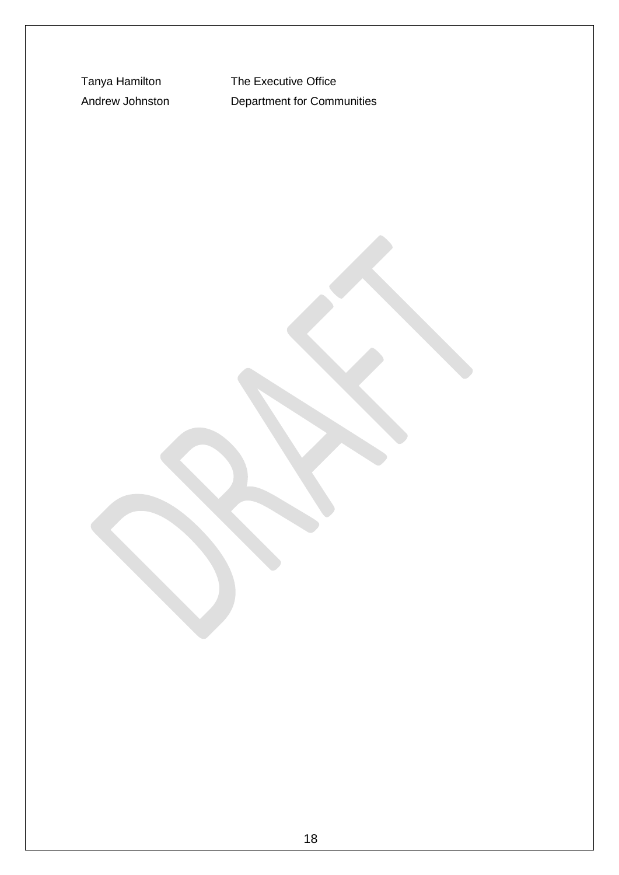Tanya Hamilton The Executive Office Andrew Johnston Department for Communities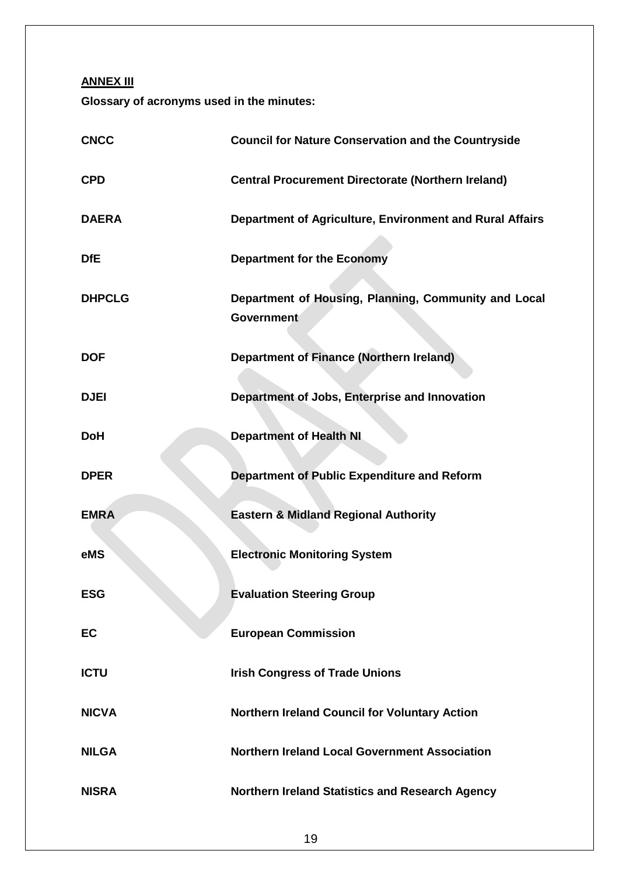**ANNEX III**

**Glossary of acronyms used in the minutes:**

| <b>CNCC</b>   | <b>Council for Nature Conservation and the Countryside</b>                |
|---------------|---------------------------------------------------------------------------|
| <b>CPD</b>    | <b>Central Procurement Directorate (Northern Ireland)</b>                 |
| <b>DAERA</b>  | Department of Agriculture, Environment and Rural Affairs                  |
| <b>DfE</b>    | <b>Department for the Economy</b>                                         |
| <b>DHPCLG</b> | Department of Housing, Planning, Community and Local<br><b>Government</b> |
| <b>DOF</b>    | <b>Department of Finance (Northern Ireland)</b>                           |
| <b>DJEI</b>   | Department of Jobs, Enterprise and Innovation                             |
| <b>DoH</b>    | <b>Department of Health NI</b>                                            |
| <b>DPER</b>   | Department of Public Expenditure and Reform                               |
| <b>EMRA</b>   | <b>Eastern &amp; Midland Regional Authority</b>                           |
| eMS           | <b>Electronic Monitoring System</b>                                       |
| <b>ESG</b>    | <b>Evaluation Steering Group</b>                                          |
| EC            | <b>European Commission</b>                                                |
| <b>ICTU</b>   | <b>Irish Congress of Trade Unions</b>                                     |
| <b>NICVA</b>  | Northern Ireland Council for Voluntary Action                             |
| <b>NILGA</b>  | <b>Northern Ireland Local Government Association</b>                      |
| <b>NISRA</b>  | <b>Northern Ireland Statistics and Research Agency</b>                    |